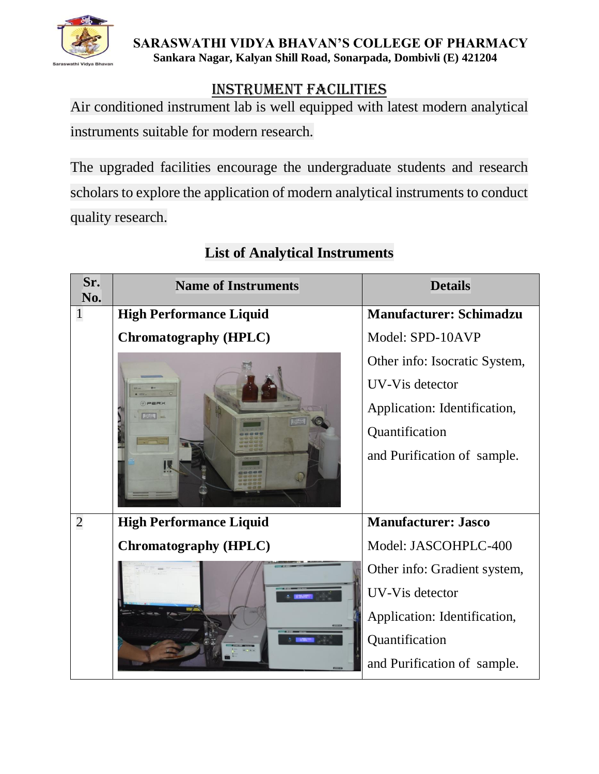

## Instrument Facilities

Air conditioned instrument lab is well equipped with latest modern analytical instruments suitable for modern research.

The upgraded facilities encourage the undergraduate students and research scholars to explore the application of modern analytical instruments to conduct quality research.

| Sr.<br>No.     | <b>Name of Instruments</b>     | <b>Details</b>                 |
|----------------|--------------------------------|--------------------------------|
| $\mathbf{1}$   | <b>High Performance Liquid</b> | <b>Manufacturer: Schimadzu</b> |
|                | <b>Chromatography (HPLC)</b>   | Model: SPD-10AVP               |
|                |                                | Other info: Isocratic System,  |
|                |                                | UV-Vis detector                |
|                |                                | Application: Identification,   |
|                |                                | Quantification                 |
|                |                                | and Purification of sample.    |
| $\overline{2}$ | <b>High Performance Liquid</b> | <b>Manufacturer: Jasco</b>     |
|                | <b>Chromatography (HPLC)</b>   | Model: JASCOHPLC-400           |
|                |                                | Other info: Gradient system,   |
|                |                                | UV-Vis detector                |
|                |                                | Application: Identification,   |
|                |                                | Quantification                 |
|                |                                | and Purification of sample.    |

# **List of Analytical Instruments**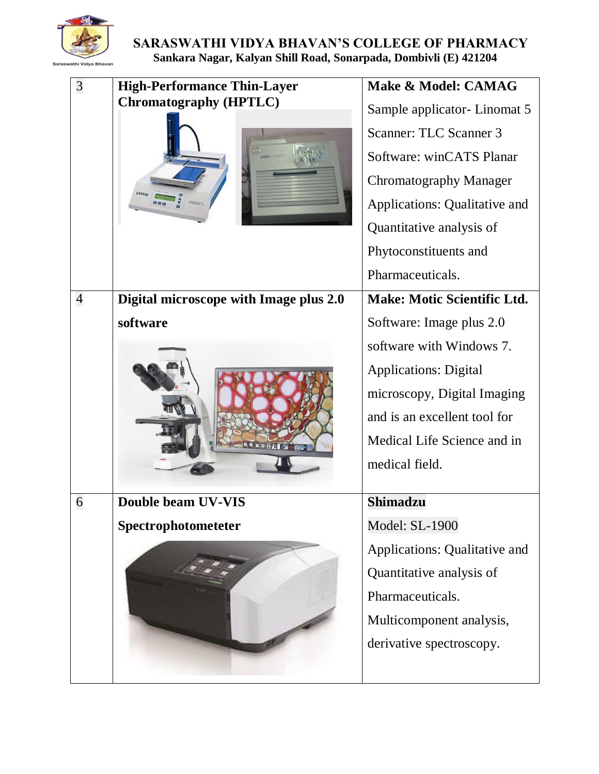

| 3              | <b>High-Performance Thin-Layer</b>     | Make & Model: CAMAG                |
|----------------|----------------------------------------|------------------------------------|
|                | <b>Chromatography (HPTLC)</b><br>come  | Sample applicator- Linomat 5       |
|                |                                        | Scanner: TLC Scanner 3             |
|                |                                        | Software: winCATS Planar           |
|                |                                        | Chromatography Manager             |
|                |                                        | Applications: Qualitative and      |
|                |                                        | Quantitative analysis of           |
|                |                                        | Phytoconstituents and              |
|                |                                        | Pharmaceuticals.                   |
| $\overline{4}$ | Digital microscope with Image plus 2.0 | <b>Make: Motic Scientific Ltd.</b> |
|                | software                               | Software: Image plus 2.0           |
|                |                                        | software with Windows 7.           |
|                |                                        | <b>Applications: Digital</b>       |
|                |                                        | microscopy, Digital Imaging        |
|                |                                        | and is an excellent tool for       |
|                |                                        | Medical Life Science and in        |
|                |                                        | medical field.                     |
| 6              | <b>Double beam UV-VIS</b>              | <b>Shimadzu</b>                    |
|                |                                        |                                    |
|                | Spectrophotometeter                    | Model: SL-1900                     |
|                |                                        | Applications: Qualitative and      |
|                |                                        | Quantitative analysis of           |
|                |                                        | Pharmaceuticals.                   |
|                |                                        | Multicomponent analysis,           |
|                |                                        | derivative spectroscopy.           |
|                |                                        |                                    |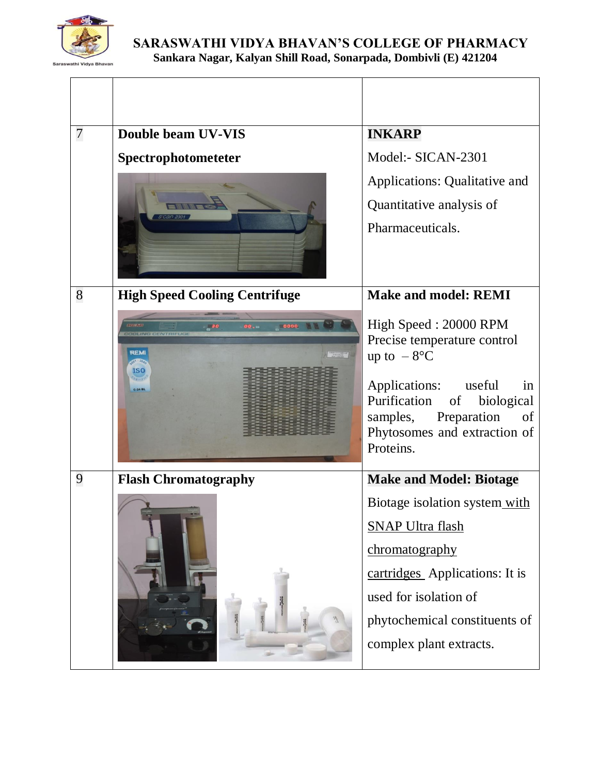

| 7 | <b>Double beam UV-VIS</b>            | <b>INKARP</b>                                                                                                                          |
|---|--------------------------------------|----------------------------------------------------------------------------------------------------------------------------------------|
|   | Spectrophotometeter                  | Model:- SICAN-2301                                                                                                                     |
|   |                                      | Applications: Qualitative and                                                                                                          |
|   |                                      | Quantitative analysis of                                                                                                               |
|   |                                      | Pharmaceuticals.                                                                                                                       |
|   |                                      |                                                                                                                                        |
| 8 | <b>High Speed Cooling Centrifuge</b> | <b>Make and model: REMI</b>                                                                                                            |
|   | 0000<br>$-30$<br>00.44               | High Speed: 20000 RPM                                                                                                                  |
|   | REM<br><b>DEBETAVEREER</b><br>ISC    | Precise temperature control<br>up to $-8$ °C                                                                                           |
|   |                                      | Applications: useful<br>in<br>Purification of<br>biological<br>samples, Preparation<br>of<br>Phytosomes and extraction of<br>Proteins. |
| 9 | <b>Flash Chromatography</b>          | <b>Make and Model: Biotage</b>                                                                                                         |
|   |                                      | Biotage isolation system with                                                                                                          |
|   |                                      | <b>SNAP Ultra flash</b>                                                                                                                |
|   |                                      | chromatography                                                                                                                         |
|   |                                      | cartridges Applications: It is                                                                                                         |
|   |                                      | used for isolation of                                                                                                                  |
|   |                                      | phytochemical constituents of                                                                                                          |
|   |                                      | complex plant extracts.                                                                                                                |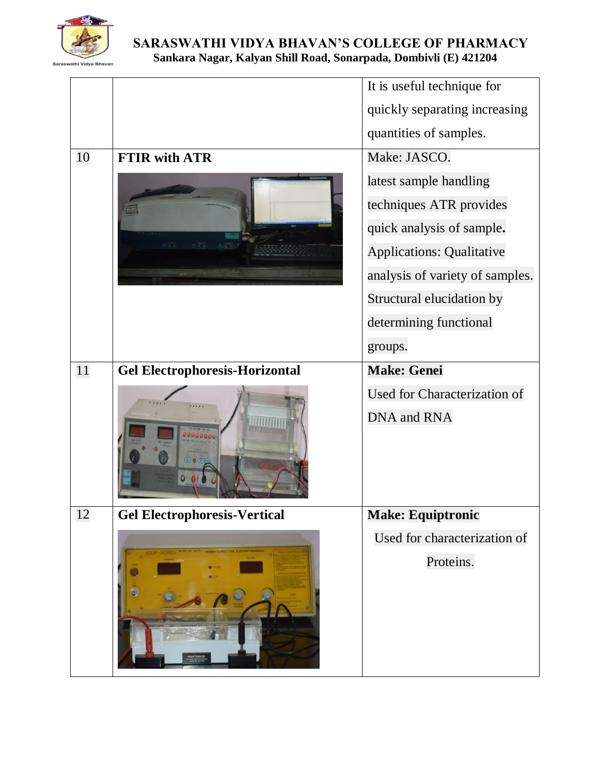

|    |                                       | It is useful technique for       |
|----|---------------------------------------|----------------------------------|
|    |                                       | quickly separating increasing    |
|    |                                       | quantities of samples.           |
| 10 | <b>FTIR with ATR</b>                  | Make: JASCO.                     |
|    | 819 819 819                           | latest sample handling           |
|    |                                       | techniques ATR provides          |
|    |                                       | quick analysis of sample.        |
|    |                                       | <b>Applications: Qualitative</b> |
|    |                                       | analysis of variety of samples.  |
|    |                                       | Structural elucidation by        |
|    |                                       | determining functional           |
|    |                                       | groups.                          |
| 11 | <b>Gel Electrophoresis-Horizontal</b> | <b>Make: Genei</b>               |
|    |                                       | Used for Characterization of     |
|    |                                       | DNA and RNA                      |
| 12 | <b>Gel Electrophoresis-Vertical</b>   | <b>Make: Equiptronic</b>         |
|    |                                       | Used for characterization of     |
|    |                                       | Proteins.                        |